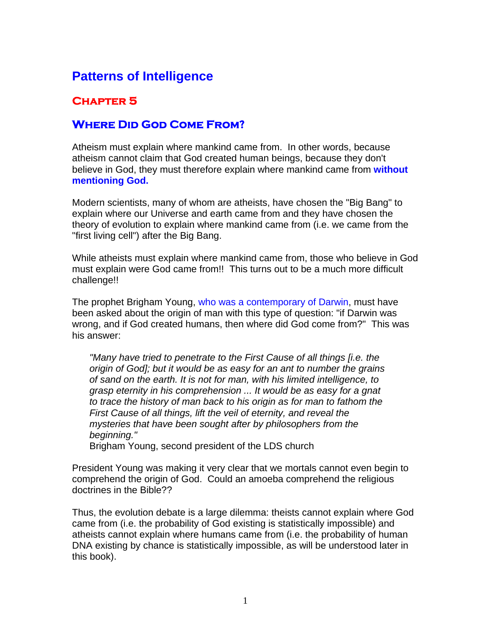## **Patterns of Intelligence**

## **Chapter 5**

## **Where Did God Come From?**

Atheism must explain where mankind came from. In other words, because atheism cannot claim that God created human beings, because they don't believe in God, they must therefore explain where mankind came from **without mentioning God.**

Modern scientists, many of whom are atheists, have chosen the "Big Bang" to explain where our Universe and earth came from and they have chosen the theory of evolution to explain where mankind came from (i.e. we came from the "first living cell") after the Big Bang.

While atheists must explain where mankind came from, those who believe in God must explain were God came from!! This turns out to be a much more difficult challenge!!

The prophet Brigham Young, who was a contemporary of Darwin, must have been asked about the origin of man with this type of question: "if Darwin was wrong, and if God created humans, then where did God come from?" This was his answer:

*"Many have tried to penetrate to the First Cause of all things [i.e. the origin of God]; but it would be as easy for an ant to number the grains of sand on the earth. It is not for man, with his limited intelligence, to grasp eternity in his comprehension ... It would be as easy for a gnat to trace the history of man back to his origin as for man to fathom the First Cause of all things, lift the veil of eternity, and reveal the mysteries that have been sought after by philosophers from the beginning."* 

Brigham Young, second president of the LDS church

President Young was making it very clear that we mortals cannot even begin to comprehend the origin of God. Could an amoeba comprehend the religious doctrines in the Bible??

Thus, the evolution debate is a large dilemma: theists cannot explain where God came from (i.e. the probability of God existing is statistically impossible) and atheists cannot explain where humans came from (i.e. the probability of human DNA existing by chance is statistically impossible, as will be understood later in this book).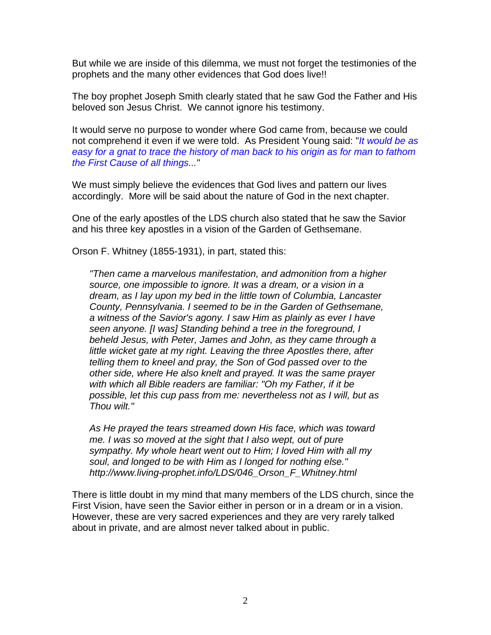But while we are inside of this dilemma, we must not forget the testimonies of the prophets and the many other evidences that God does live!!

The boy prophet Joseph Smith clearly stated that he saw God the Father and His beloved son Jesus Christ. We cannot ignore his testimony.

It would serve no purpose to wonder where God came from, because we could not comprehend it even if we were told. As President Young said: "*It would be as easy for a gnat to trace the history of man back to his origin as for man to fathom the First Cause of all things...*"

We must simply believe the evidences that God lives and pattern our lives accordingly. More will be said about the nature of God in the next chapter.

One of the early apostles of the LDS church also stated that he saw the Savior and his three key apostles in a vision of the Garden of Gethsemane.

Orson F. Whitney (1855-1931), in part, stated this:

*"Then came a marvelous manifestation, and admonition from a higher source, one impossible to ignore. It was a dream, or a vision in a dream, as I lay upon my bed in the little town of Columbia, Lancaster County, Pennsylvania. I seemed to be in the Garden of Gethsemane, a witness of the Savior's agony. I saw Him as plainly as ever I have seen anyone. [I was] Standing behind a tree in the foreground, I beheld Jesus, with Peter, James and John, as they came through a little wicket gate at my right. Leaving the three Apostles there, after telling them to kneel and pray, the Son of God passed over to the other side, where He also knelt and prayed. It was the same prayer with which all Bible readers are familiar: "Oh my Father, if it be possible, let this cup pass from me: nevertheless not as I will, but as Thou wilt."* 

*As He prayed the tears streamed down His face, which was toward me. I was so moved at the sight that I also wept, out of pure sympathy. My whole heart went out to Him; I loved Him with all my soul, and longed to be with Him as I longed for nothing else." http://www.living-prophet.info/LDS/046\_Orson\_F\_Whitney.html* 

There is little doubt in my mind that many members of the LDS church, since the First Vision, have seen the Savior either in person or in a dream or in a vision. However, these are very sacred experiences and they are very rarely talked about in private, and are almost never talked about in public.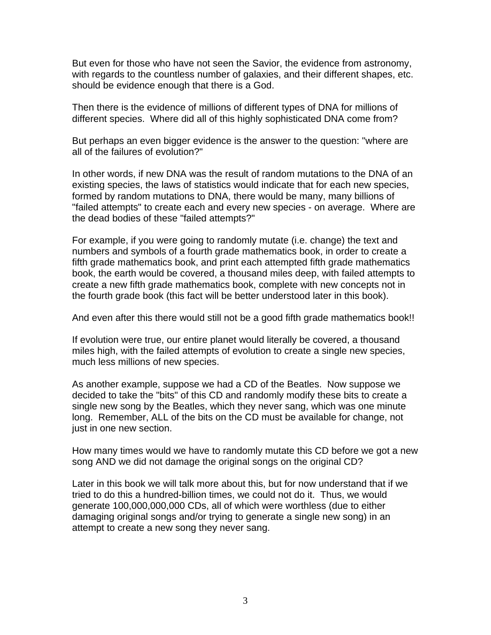But even for those who have not seen the Savior, the evidence from astronomy, with regards to the countless number of galaxies, and their different shapes, etc. should be evidence enough that there is a God.

Then there is the evidence of millions of different types of DNA for millions of different species. Where did all of this highly sophisticated DNA come from?

But perhaps an even bigger evidence is the answer to the question: "where are all of the failures of evolution?"

In other words, if new DNA was the result of random mutations to the DNA of an existing species, the laws of statistics would indicate that for each new species, formed by random mutations to DNA, there would be many, many billions of "failed attempts" to create each and every new species - on average. Where are the dead bodies of these "failed attempts?"

For example, if you were going to randomly mutate (i.e. change) the text and numbers and symbols of a fourth grade mathematics book, in order to create a fifth grade mathematics book, and print each attempted fifth grade mathematics book, the earth would be covered, a thousand miles deep, with failed attempts to create a new fifth grade mathematics book, complete with new concepts not in the fourth grade book (this fact will be better understood later in this book).

And even after this there would still not be a good fifth grade mathematics book!!

If evolution were true, our entire planet would literally be covered, a thousand miles high, with the failed attempts of evolution to create a single new species, much less millions of new species.

As another example, suppose we had a CD of the Beatles. Now suppose we decided to take the "bits" of this CD and randomly modify these bits to create a single new song by the Beatles, which they never sang, which was one minute long. Remember, ALL of the bits on the CD must be available for change, not just in one new section.

How many times would we have to randomly mutate this CD before we got a new song AND we did not damage the original songs on the original CD?

Later in this book we will talk more about this, but for now understand that if we tried to do this a hundred-billion times, we could not do it. Thus, we would generate 100,000,000,000 CDs, all of which were worthless (due to either damaging original songs and/or trying to generate a single new song) in an attempt to create a new song they never sang.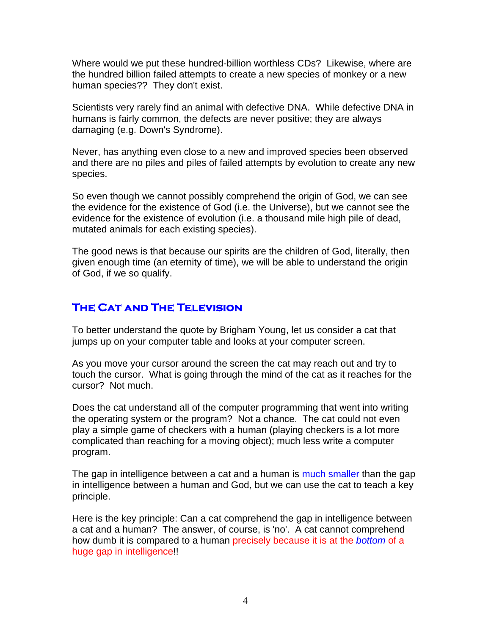Where would we put these hundred-billion worthless CDs? Likewise, where are the hundred billion failed attempts to create a new species of monkey or a new human species?? They don't exist.

Scientists very rarely find an animal with defective DNA. While defective DNA in humans is fairly common, the defects are never positive; they are always damaging (e.g. Down's Syndrome).

Never, has anything even close to a new and improved species been observed and there are no piles and piles of failed attempts by evolution to create any new species.

So even though we cannot possibly comprehend the origin of God, we can see the evidence for the existence of God (i.e. the Universe), but we cannot see the evidence for the existence of evolution (i.e. a thousand mile high pile of dead, mutated animals for each existing species).

The good news is that because our spirits are the children of God, literally, then given enough time (an eternity of time), we will be able to understand the origin of God, if we so qualify.

## **The Cat and The Television**

To better understand the quote by Brigham Young, let us consider a cat that jumps up on your computer table and looks at your computer screen.

As you move your cursor around the screen the cat may reach out and try to touch the cursor. What is going through the mind of the cat as it reaches for the cursor? Not much.

Does the cat understand all of the computer programming that went into writing the operating system or the program? Not a chance. The cat could not even play a simple game of checkers with a human (playing checkers is a lot more complicated than reaching for a moving object); much less write a computer program.

The gap in intelligence between a cat and a human is much smaller than the gap in intelligence between a human and God, but we can use the cat to teach a key principle.

Here is the key principle: Can a cat comprehend the gap in intelligence between a cat and a human? The answer, of course, is 'no'. A cat cannot comprehend how dumb it is compared to a human precisely because it is at the *bottom* of a huge gap in intelligence!!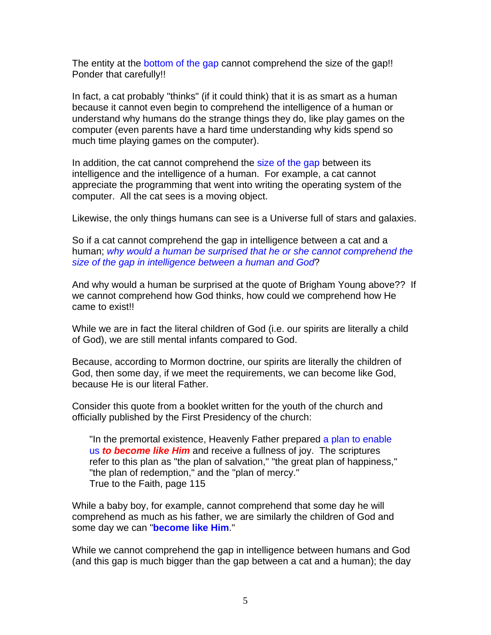The entity at the bottom of the gap cannot comprehend the size of the gap!! Ponder that carefully!!

In fact, a cat probably "thinks" (if it could think) that it is as smart as a human because it cannot even begin to comprehend the intelligence of a human or understand why humans do the strange things they do, like play games on the computer (even parents have a hard time understanding why kids spend so much time playing games on the computer).

In addition, the cat cannot comprehend the size of the gap between its intelligence and the intelligence of a human. For example, a cat cannot appreciate the programming that went into writing the operating system of the computer. All the cat sees is a moving object.

Likewise, the only things humans can see is a Universe full of stars and galaxies.

So if a cat cannot comprehend the gap in intelligence between a cat and a human; *why would a human be surprised that he or she cannot comprehend the size of the gap in intelligence between a human and God*?

And why would a human be surprised at the quote of Brigham Young above?? If we cannot comprehend how God thinks, how could we comprehend how He came to exist!!

While we are in fact the literal children of God (i.e. our spirits are literally a child of God), we are still mental infants compared to God.

Because, according to Mormon doctrine, our spirits are literally the children of God, then some day, if we meet the requirements, we can become like God, because He is our literal Father.

Consider this quote from a booklet written for the youth of the church and officially published by the First Presidency of the church:

"In the premortal existence, Heavenly Father prepared a plan to enable us *to become like Him* and receive a fullness of joy. The scriptures refer to this plan as "the plan of salvation," "the great plan of happiness," "the plan of redemption," and the "plan of mercy." True to the Faith, page 115

While a baby boy, for example, cannot comprehend that some day he will comprehend as much as his father, we are similarly the children of God and some day we can "**become like Him**."

While we cannot comprehend the gap in intelligence between humans and God (and this gap is much bigger than the gap between a cat and a human); the day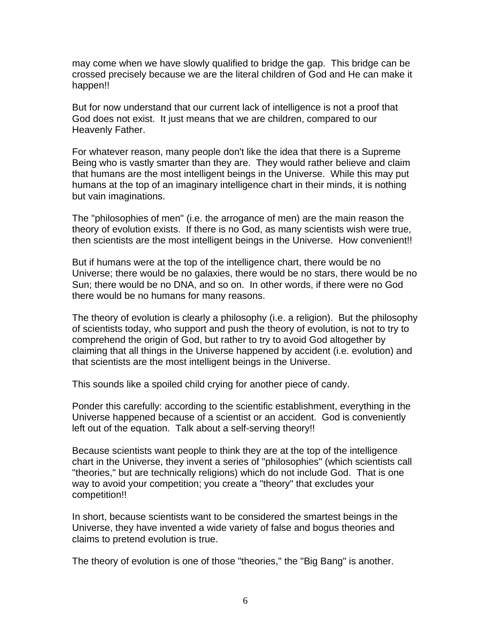may come when we have slowly qualified to bridge the gap. This bridge can be crossed precisely because we are the literal children of God and He can make it happen!!

But for now understand that our current lack of intelligence is not a proof that God does not exist. It just means that we are children, compared to our Heavenly Father.

For whatever reason, many people don't like the idea that there is a Supreme Being who is vastly smarter than they are. They would rather believe and claim that humans are the most intelligent beings in the Universe. While this may put humans at the top of an imaginary intelligence chart in their minds, it is nothing but vain imaginations.

The "philosophies of men" (i.e. the arrogance of men) are the main reason the theory of evolution exists. If there is no God, as many scientists wish were true, then scientists are the most intelligent beings in the Universe. How convenient!!

But if humans were at the top of the intelligence chart, there would be no Universe; there would be no galaxies, there would be no stars, there would be no Sun; there would be no DNA, and so on. In other words, if there were no God there would be no humans for many reasons.

The theory of evolution is clearly a philosophy (i.e. a religion). But the philosophy of scientists today, who support and push the theory of evolution, is not to try to comprehend the origin of God, but rather to try to avoid God altogether by claiming that all things in the Universe happened by accident (i.e. evolution) and that scientists are the most intelligent beings in the Universe.

This sounds like a spoiled child crying for another piece of candy.

Ponder this carefully: according to the scientific establishment, everything in the Universe happened because of a scientist or an accident. God is conveniently left out of the equation. Talk about a self-serving theory!!

Because scientists want people to think they are at the top of the intelligence chart in the Universe, they invent a series of "philosophies" (which scientists call "theories," but are technically religions) which do not include God. That is one way to avoid your competition; you create a "theory" that excludes your competition!!

In short, because scientists want to be considered the smartest beings in the Universe, they have invented a wide variety of false and bogus theories and claims to pretend evolution is true.

The theory of evolution is one of those "theories," the "Big Bang" is another.